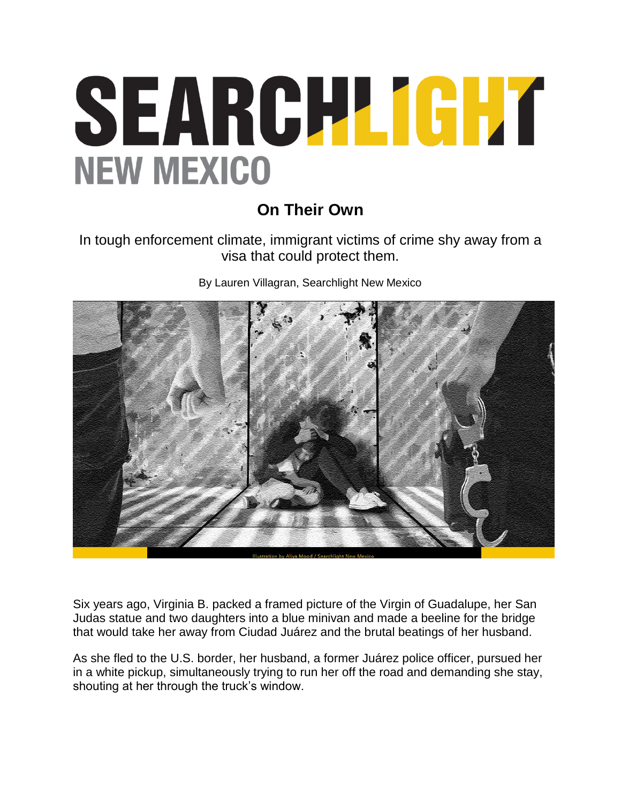## SEARCH LIGHT **NEW MEXICO**

## **On Their Own**

In tough enforcement climate, immigrant victims of crime shy away from a visa that could protect them.

By Lauren Villagran, Searchlight New Mexico



Six years ago, Virginia B. packed a framed picture of the Virgin of Guadalupe, her San Judas statue and two daughters into a blue minivan and made a beeline for the bridge that would take her away from Ciudad Juárez and the brutal beatings of her husband.

As she fled to the U.S. border, her husband, a former Juárez police officer, pursued her in a white pickup, simultaneously trying to run her off the road and demanding she stay, shouting at her through the truck's window.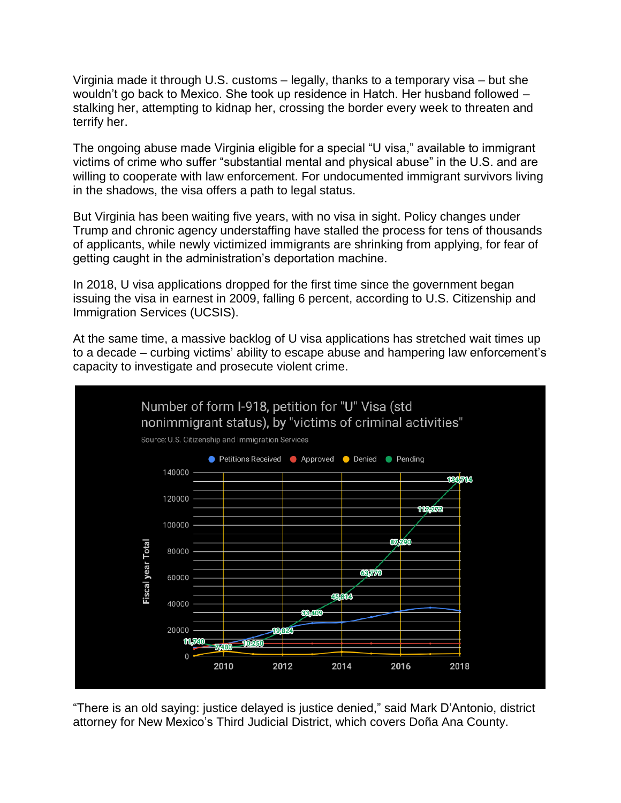Virginia made it through U.S. customs – legally, thanks to a temporary visa – but she wouldn't go back to Mexico. She took up residence in Hatch. Her husband followed – stalking her, attempting to kidnap her, crossing the border every week to threaten and terrify her.

The ongoing abuse made Virginia eligible for a special "U visa," available to immigrant victims of crime who suffer "substantial mental and physical abuse" in the U.S. and are willing to cooperate with law enforcement. For undocumented immigrant survivors living in the shadows, the visa offers a path to legal status.

But Virginia has been waiting five years, with no visa in sight. Policy changes under Trump and chronic agency understaffing have stalled the process for tens of thousands of applicants, while newly victimized immigrants are shrinking from applying, for fear of getting caught in the administration's deportation machine.

In 2018, U visa applications dropped for the first time since the government began issuing the visa in earnest in 2009, falling 6 percent, according to U.S. Citizenship and Immigration Services (UCSIS).

At the same time, a massive backlog of U visa applications has stretched wait times up to a decade – curbing victims' ability to escape abuse and hampering law enforcement's capacity to investigate and prosecute violent crime.



"There is an old saying: justice delayed is justice denied," said Mark D'Antonio, district attorney for New Mexico's Third Judicial District, which covers Doña Ana County.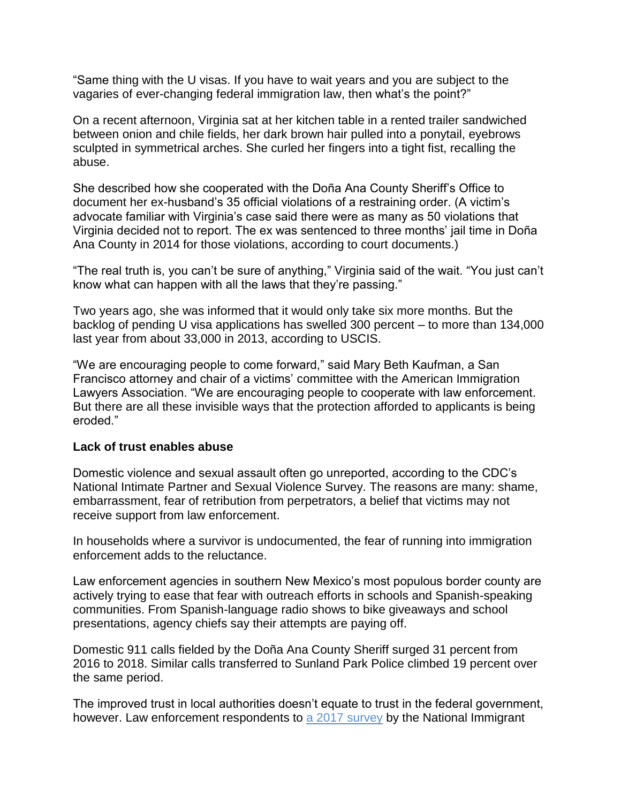"Same thing with the U visas. If you have to wait years and you are subject to the vagaries of ever-changing federal immigration law, then what's the point?"

On a recent afternoon, Virginia sat at her kitchen table in a rented trailer sandwiched between onion and chile fields, her dark brown hair pulled into a ponytail, eyebrows sculpted in symmetrical arches. She curled her fingers into a tight fist, recalling the abuse.

She described how she cooperated with the Doña Ana County Sheriff's Office to document her ex-husband's 35 official violations of a restraining order. (A victim's advocate familiar with Virginia's case said there were as many as 50 violations that Virginia decided not to report. The ex was sentenced to three months' jail time in Doña Ana County in 2014 for those violations, according to court documents.)

"The real truth is, you can't be sure of anything," Virginia said of the wait. "You just can't know what can happen with all the laws that they're passing."

Two years ago, she was informed that it would only take six more months. But the backlog of pending U visa applications has swelled 300 percent – to more than 134,000 last year from about 33,000 in 2013, according to USCIS.

"We are encouraging people to come forward," said Mary Beth Kaufman, a San Francisco attorney and chair of a victims' committee with the American Immigration Lawyers Association. "We are encouraging people to cooperate with law enforcement. But there are all these invisible ways that the protection afforded to applicants is being eroded."

## **Lack of trust enables abuse**

Domestic violence and sexual assault often go unreported, according to the CDC's National Intimate Partner and Sexual Violence Survey. The reasons are many: shame, embarrassment, fear of retribution from perpetrators, a belief that victims may not receive support from law enforcement.

In households where a survivor is undocumented, the fear of running into immigration enforcement adds to the reluctance.

Law enforcement agencies in southern New Mexico's most populous border county are actively trying to ease that fear with outreach efforts in schools and Spanish-speaking communities. From Spanish-language radio shows to bike giveaways and school presentations, agency chiefs say their attempts are paying off.

Domestic 911 calls fielded by the Doña Ana County Sheriff surged 31 percent from 2016 to 2018. Similar calls transferred to Sunland Park Police climbed 19 percent over the same period.

The improved trust in local authorities doesn't equate to trust in the federal government, however. Law enforcement respondents to a 2017 [survey](http://niwaplibrary.wcl.american.edu/pubs/immigrant-access-to-justice-national-report/) by the National Immigrant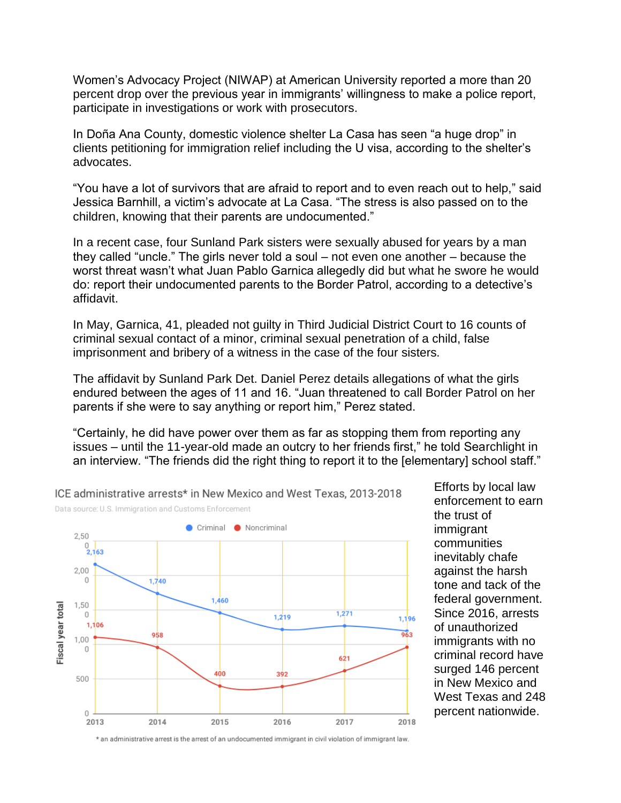Women's Advocacy Project (NIWAP) at American University reported a more than 20 percent drop over the previous year in immigrants' willingness to make a police report, participate in investigations or work with prosecutors.

In Doña Ana County, domestic violence shelter La Casa has seen "a huge drop" in clients petitioning for immigration relief including the U visa, according to the shelter's advocates.

"You have a lot of survivors that are afraid to report and to even reach out to help," said Jessica Barnhill, a victim's advocate at La Casa. "The stress is also passed on to the children, knowing that their parents are undocumented."

In a recent case, four Sunland Park sisters were sexually abused for years by a man they called "uncle." The girls never told a soul – not even one another – because the worst threat wasn't what Juan Pablo Garnica allegedly did but what he swore he would do: report their undocumented parents to the Border Patrol, according to a detective's affidavit.

In May, Garnica, 41, pleaded not guilty in Third Judicial District Court to 16 counts of criminal sexual contact of a minor, criminal sexual penetration of a child, false imprisonment and bribery of a witness in the case of the four sisters.

The affidavit by Sunland Park Det. Daniel Perez details allegations of what the girls endured between the ages of 11 and 16. "Juan threatened to call Border Patrol on her parents if she were to say anything or report him," Perez stated.

"Certainly, he did have power over them as far as stopping them from reporting any issues – until the 11-year-old made an outcry to her friends first," he told Searchlight in an interview. "The friends did the right thing to report it to the [elementary] school staff."



Efforts by local law enforcement to earn the trust of immigrant communities inevitably chafe against the harsh tone and tack of the federal government. Since 2016, arrests of unauthorized immigrants with no criminal record have surged 146 percent in New Mexico and West Texas and 248 percent nationwide.

ICE administrative arrests\* in New Mexico and West Texas, 2013-2018 Data source: U.S. Immigration and Customs Enforcement

\* an administrative arrest is the arrest of an undocumented immigrant in civil violation of immigrant law.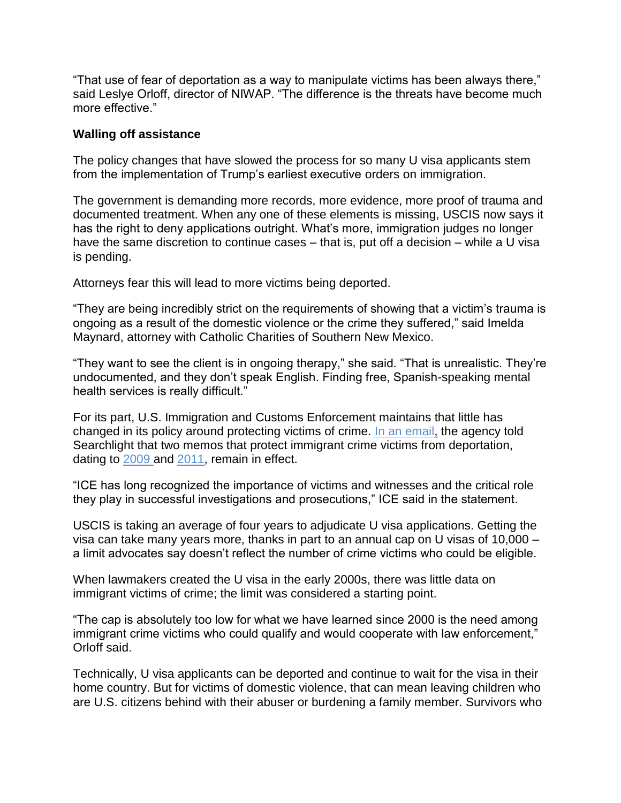"That use of fear of deportation as a way to manipulate victims has been always there," said Leslye Orloff, director of NIWAP. "The difference is the threats have become much more effective."

## **Walling off assistance**

The policy changes that have slowed the process for so many U visa applicants stem from the implementation of Trump's earliest executive orders on immigration.

The government is demanding more records, more evidence, more proof of trauma and documented treatment. When any one of these elements is missing, USCIS now says it has the right to deny applications outright. What's more, immigration judges no longer have the same discretion to continue cases – that is, put off a decision – while a U visa is pending.

Attorneys fear this will lead to more victims being deported.

"They are being incredibly strict on the requirements of showing that a victim's trauma is ongoing as a result of the domestic violence or the crime they suffered," said Imelda Maynard, attorney with Catholic Charities of Southern New Mexico.

"They want to see the client is in ongoing therapy," she said. "That is unrealistic. They're undocumented, and they don't speak English. Finding free, Spanish-speaking mental health services is really difficult."

For its part, U.S. Immigration and Customs Enforcement maintains that little has changed in its policy around protecting victims of crime. In an [email,](http://niwaplibrary.wcl.american.edu/pubs/ice-memo-april-2019-memo-on-crime-victims/) the agency told Searchlight that two memos that protect immigrant crime victims from deportation, dating to [2009](http://niwaplibrary.wcl.american.edu/pubs/adjudicating-stay-requests/) and [2011,](http://niwaplibrary.wcl.american.edu/pubs/dhs-memo-june-17-2011-prosecutorial-discretion-for-victims/) remain in effect.

"ICE has long recognized the importance of victims and witnesses and the critical role they play in successful investigations and prosecutions," ICE said in the statement.

USCIS is taking an average of four years to adjudicate U visa applications. Getting the visa can take many years more, thanks in part to an annual cap on U visas of 10,000 – a limit advocates say doesn't reflect the number of crime victims who could be eligible.

When lawmakers created the U visa in the early 2000s, there was little data on immigrant victims of crime; the limit was considered a starting point.

"The cap is absolutely too low for what we have learned since 2000 is the need among immigrant crime victims who could qualify and would cooperate with law enforcement," Orloff said.

Technically, U visa applicants can be deported and continue to wait for the visa in their home country. But for victims of domestic violence, that can mean leaving children who are U.S. citizens behind with their abuser or burdening a family member. Survivors who